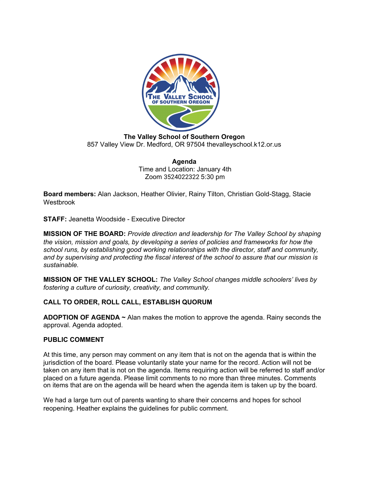

**The Valley School of Southern Oregon** 857 Valley View Dr. Medford, OR 97504 thevalleyschool.k12.or.us

> **Agenda** Time and Location: January 4th Zoom 3524022322 5:30 pm

**Board members:** Alan Jackson, Heather Olivier, Rainy Tilton, Christian Gold-Stagg, Stacie Westbrook

**STAFF:** Jeanetta Woodside - Executive Director

**MISSION OF THE BOARD:** *Provide direction and leadership for The Valley School by shaping the vision, mission and goals, by developing a series of policies and frameworks for how the school runs, by establishing good working relationships with the director, staff and community, and by supervising and protecting the fiscal interest of the school to assure that our mission is sustainable.*

**MISSION OF THE VALLEY SCHOOL:** *The Valley School changes middle schoolers' lives by fostering a culture of curiosity, creativity, and community.*

# **CALL TO ORDER, ROLL CALL, ESTABLISH QUORUM**

**ADOPTION OF AGENDA ~** Alan makes the motion to approve the agenda. Rainy seconds the approval. Agenda adopted.

### **PUBLIC COMMENT**

At this time, any person may comment on any item that is not on the agenda that is within the jurisdiction of the board. Please voluntarily state your name for the record. Action will not be taken on any item that is not on the agenda. Items requiring action will be referred to staff and/or placed on a future agenda. Please limit comments to no more than three minutes. Comments on items that are on the agenda will be heard when the agenda item is taken up by the board.

We had a large turn out of parents wanting to share their concerns and hopes for school reopening. Heather explains the guidelines for public comment.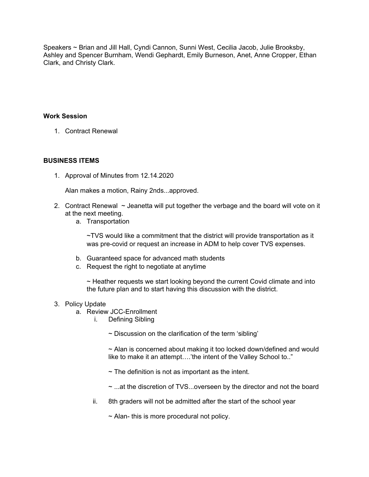Speakers ~ Brian and Jill Hall, Cyndi Cannon, Sunni West, Cecilia Jacob, Julie Brooksby, Ashley and Spencer Burnham, Wendi Gephardt, Emily Burneson, Anet, Anne Cropper, Ethan Clark, and Christy Clark.

### **Work Session**

1. Contract Renewal

### **BUSINESS ITEMS**

1. Approval of Minutes from 12.14.2020

Alan makes a motion, Rainy 2nds...approved.

- 2. Contract Renewal  $\sim$  Jeanetta will put together the verbage and the board will vote on it at the next meeting.
	- a. Transportation

~TVS would like a commitment that the district will provide transportation as it was pre-covid or request an increase in ADM to help cover TVS expenses.

- b. Guaranteed space for advanced math students
- c. Request the right to negotiate at anytime

~ Heather requests we start looking beyond the current Covid climate and into the future plan and to start having this discussion with the district.

### 3. Policy Update

- a. Review JCC-Enrollment
	- i. Defining Sibling

 $\sim$  Discussion on the clarification of the term 'sibling'

 $\sim$  Alan is concerned about making it too locked down/defined and would like to make it an attempt….'the intent of the Valley School to.."

- $\sim$  The definition is not as important as the intent.
- ~ ...at the discretion of TVS...overseen by the director and not the board
- ii. 8th graders will not be admitted after the start of the school year

 $\sim$  Alan-this is more procedural not policy.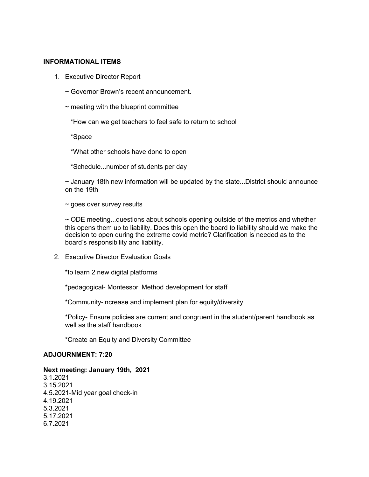#### **INFORMATIONAL ITEMS**

- 1. Executive Director Report
	- ~ Governor Brown's recent announcement.
	- $\sim$  meeting with the blueprint committee
		- \*How can we get teachers to feel safe to return to school

\*Space

\*What other schools have done to open

\*Schedule...number of students per day

 $\sim$  January 18th new information will be updated by the state...District should announce on the 19th

 $\sim$  goes over survey results

 $\sim$  ODE meeting...questions about schools opening outside of the metrics and whether this opens them up to liability. Does this open the board to liability should we make the decision to open during the extreme covid metric? Clarification is needed as to the board's responsibility and liability.

2. Executive Director Evaluation Goals

\*to learn 2 new digital platforms

\*pedagogical- Montessori Method development for staff

\*Community-increase and implement plan for equity/diversity

\*Policy- Ensure policies are current and congruent in the student/parent handbook as well as the staff handbook

\*Create an Equity and Diversity Committee

# **ADJOURNMENT: 7:20**

### **Next meeting: January 19th, 2021**

3.1.2021 3.15.2021 4.5.2021-Mid year goal check-in 4.19.2021 5.3.2021 5.17.2021 6.7.2021